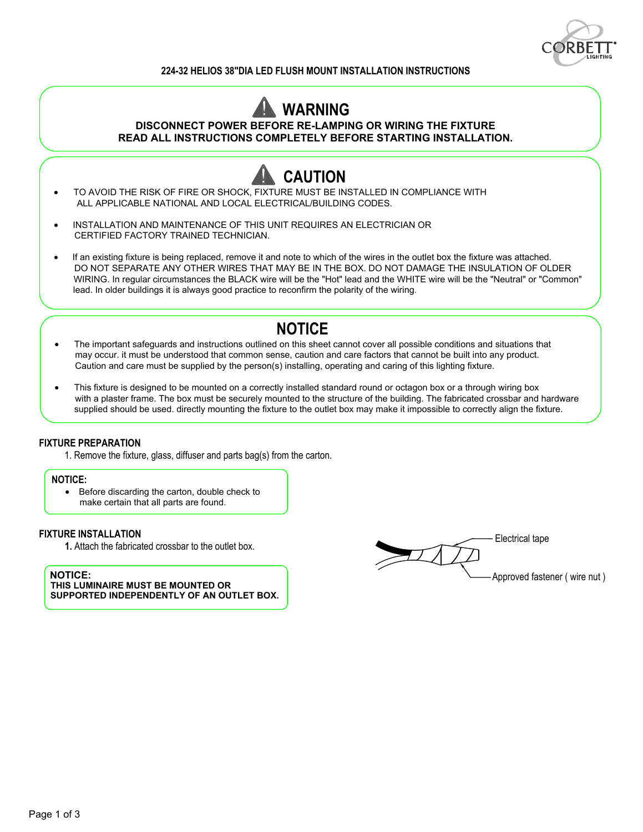

#### **224-32 HELIOS 38"DIA LED FLUSH MOUNT INSTALLATION INSTRUCTIONS**

# **WARNING**

**DISCONNECT POWER BEFORE RE-LAMPING OR WIRING THE FIXTURE**

**READ ALL INSTRUCTIONS COMPLETELY BEFORE STARTING INSTALLATION.**



- · INSTALLATION AND MAINTENANCE OF THIS UNIT REQUIRES AN ELECTRICIAN OR CERTIFIED FACTORY TRAINED TECHNICIAN.
- **·** If an existing fixture is being replaced, remove it and note to which of the wires in the outlet box the fixture was attached. DO NOT SEPARATE ANY OTHER WIRES THAT MAY BE IN THE BOX. DO NOT DAMAGE THE INSULATION OF OLDER WIRING. In regular circumstances the BLACK wire will be the "Hot" lead and the WHITE wire will be the "Neutral" or "Common" lead. In older buildings it is always good practice to reconfirm the polarity of the wiring.

## **NOTICE**

- · The important safeguards and instructions outlined on this sheet cannot cover all possible conditions and situations that may occur. it must be understood that common sense, caution and care factors that cannot be built into any product. Caution and care must be supplied by the person(s) installing, operating and caring of this lighting fixture.
- · This fixture is designed to be mounted on a correctly installed standard round or octagon box or a through wiring box with a plaster frame. The box must be securely mounted to the structure of the building. The fabricated crossbar and hardware supplied should be used. directly mounting the fixture to the outlet box may make it impossible to correctly align the fixture.

#### **FIXTURE PREPARATION**

1. Remove the fixture, glass, diffuser and parts bag(s) from the carton.

#### **NOTICE:**

·

· Before discarding the carton, double check to make certain that all parts are found.

#### **FIXTURE INSTALLATION**

**1.** Attach the fabricated crossbar to the outlet box.

#### **NOTICE:**

**THIS LUMINAIRE MUST BE MOUNTED OR SUPPORTED INDEPENDENTLY OF AN OUTLET BOX.**

Approved fastener ( wire nut ) Electrical tape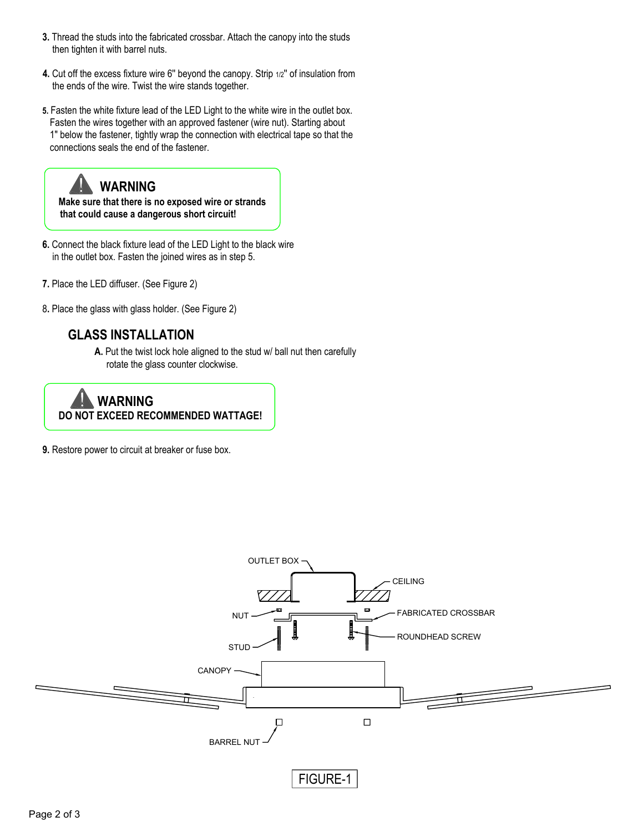- **3.** Thread the studs into the fabricated crossbar. Attach the canopy into the studs then tighten it with barrel nuts.
- **4.** Cut off the excess fixture wire 6'' beyond the canopy. Strip 1/2'' of insulation from the ends of the wire. Twist the wire stands together.
- **5.** Fasten the white fixture lead of the LED Light to the white wire in the outlet box. Fasten the wires together with an approved fastener (wire nut). Starting about 1" below the fastener, tightly wrap the connection with electrical tape so that the connections seals the end of the fastener.

# **WARNING**

 **Make sure that there is no exposed wire or strands that could cause a dangerous short circuit!** 

- **6.** Connect the black fixture lead of the LED Light to the black wire in the outlet box. Fasten the joined wires as in step 5.
- **7.** Place the LED diffuser. (See Figure 2)
- 8**.** Place the glass with glass holder. (See Figure 2)

### **GLASS INSTALLATION**

**A.** Put the twist lock hole aligned to the stud w/ ball nut then carefully rotate the glass counter clockwise.



**9.** Restore power to circuit at breaker or fuse box.